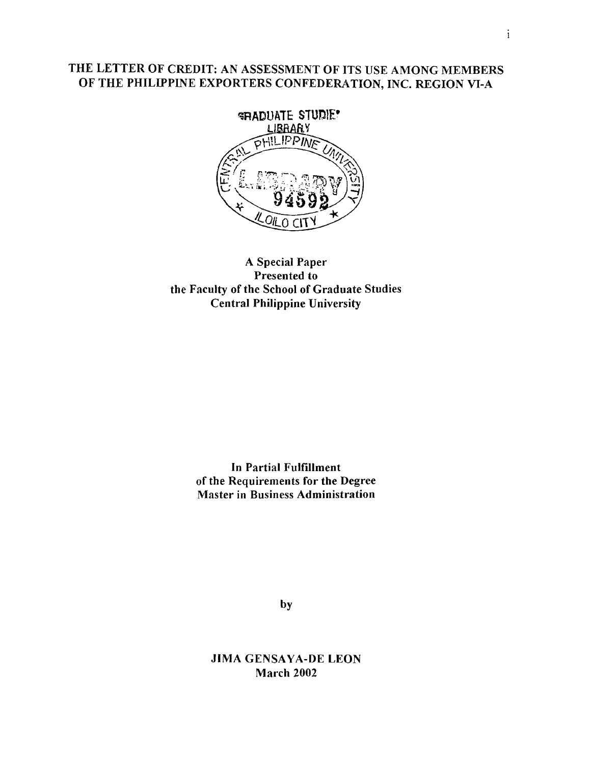# **THE LETTER OF CREDIT: AN ASSESSMENT OF ITS USE AMONG MEMBERS OF THE PHILIPPINE EXPORTERS CONFEDERATION, INC. REGION VI-A**



# **A Special Paper Presented to the Faculty of the School of Graduate Studies Central Philippine University**

**In Partial Fulfillment of the Requirements for the Degree Master in Business Administration**

by

**JIMA GENSAYA-DE LEON March 2002**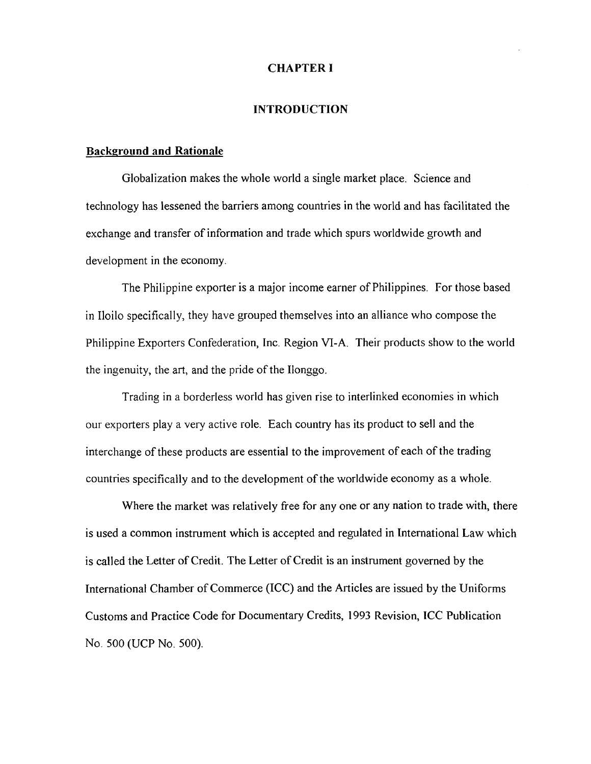### **CHAPTER I**

#### **INTRODUCTION**

#### **Back**2**round and Rationale**

Globalization makes the whole world a single market place. Science and technology has lessened the barriers among countries in the world and has facilitated the exchange and transfer of information and trade which spurs worldwide growth and development in the economy.

The Philippine exporter is a major income earner of Philippines. For those based in Iloilo specifically, they have grouped themselves into an alliance who compose the Philippine Exporters Confederation, Inc. Region VI-A. Their products show to the world the ingenuity, the art, and the pride of the Ilonggo.

Trading in a borderless world has given rise to interlinked economies in which our exporters play a very active role. Each country has its product to sell and the interchange of these products are essential to the improvement of each of the trading countries specifically and to the development of the worldwide economy as a whole.

Where the market was relatively free for any one or any nation to trade with, there is used a common instrument which is accepted and regulated in International Law which is called the Letter of Credit. The Letter of Credit is an instrument governed by the International Chamber of Commerce (ICC) and the Articles are issued by the Uniforms Customs and Practice Code for Documentary Credits, 1993 Revision, ICC Publication No. 500 (UCP No. 500).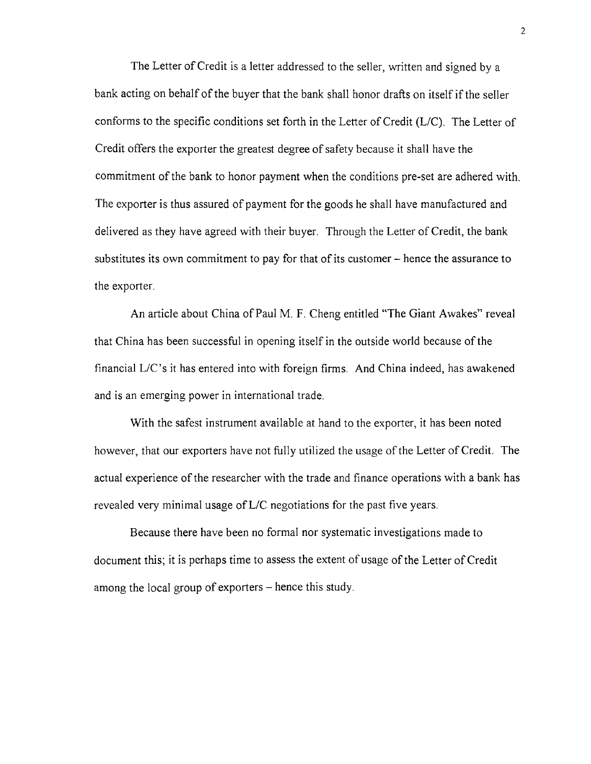The Letter of Credit is a letter addressed to the seller, written and signed by a bank acting on behalf of the buyer that the bank shall honor drafts on itself if the seller conforms to the specific conditions set forth in the Letter of Credit (L/C). The Letter of Credit offers the exporter the greatest degree of safety because it shall have the commitment of the bank to honor payment when the conditions pre-set are adhered with. The exporter is thus assured of payment for the goods he shall have manufactured and delivered as they have agreed with their buyer. Through the Letter of Credit, the bank substitutes its own commitment to pay for that of its customer – hence the assurance to the exporter.

An article about China of Paul M. F. Cheng entitled "The Giant Awakes" reveal that China has been successful in opening itself in the outside world because of the financial L/C's it has entered into with foreign firms. And China indeed, has awakened and is an emerging power in international trade.

With the safest instrument available at hand to the exporter, it has been noted however, that our exporters have not fully utilized the usage of the Letter of Credit. The actual experience of the researcher with the trade and finance operations with a bank has revealed very minimal usage of L/C negotiations for the past five years.

Because there have been no formal nor systematic investigations made to document this; it is perhaps time to assess the extent of usage of the Letter of Credit among the local group of exporters  $-$  hence this study.